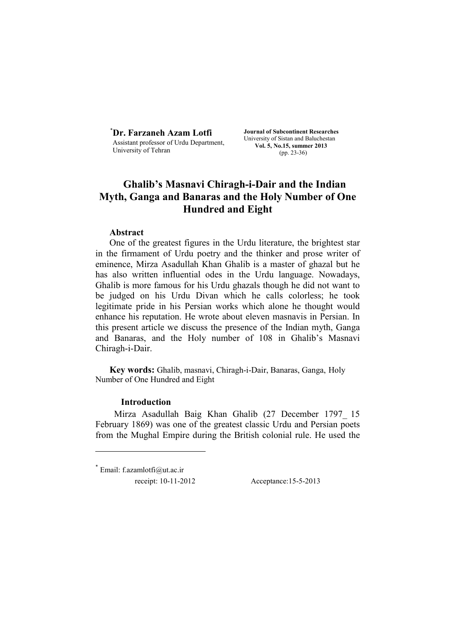\* **Dr. Farzaneh Azam Lotfi**  Assistant professor of Urdu Department, University of Tehran

**Journal of Subcontinent Researches**  University of Sistan and Baluchestan **Vol. 5, No.15, summer 2013**  (pp. 23-36)

# **Ghalib's Masnavi Chiragh-i-Dair and the Indian Myth, Ganga and Banaras and the Holy Number of One Hundred and Eight**

## **Abstract**

One of the greatest figures in the Urdu literature, the brightest star in the firmament of Urdu poetry and the thinker and prose writer of eminence, Mirza Asadullah Khan Ghalib is a master of ghazal but he has also written influential odes in the Urdu language. Nowadays, Ghalib is more famous for his Urdu ghazals though he did not want to be judged on his Urdu Divan which he calls colorless; he took legitimate pride in his Persian works which alone he thought would enhance his reputation. He wrote about eleven masnavis in Persian. In this present article we discuss the presence of the Indian myth, Ganga and Banaras, and the Holy number of 108 in Ghalib's Masnavi Chiragh-i-Dair.

**Key words:** Ghalib, masnavi, Chiragh-i-Dair, Banaras, Ganga, Holy Number of One Hundred and Eight

## **Introduction**

Mirza Asadullah Baig Khan Ghalib (27 December 1797\_ 15 February 1869) was one of the greatest classic Urdu and Persian poets from the Mughal Empire during the British colonial rule. He used the

 $*$  Email: f.azamlotfi@ut.ac.ir receipt: 10-11-2012 Acceptance:15-5-2013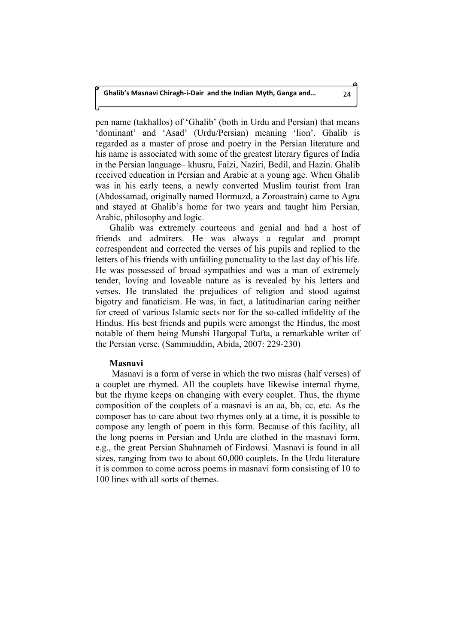pen name (takhallos) of 'Ghalib' (both in Urdu and Persian) that means 'dominant' and 'Asad' (Urdu/Persian) meaning 'lion'. Ghalib is regarded as a master of prose and poetry in the Persian literature and his name is associated with some of the greatest literary figures of India in the Persian language– khusru, Faizi, Naziri, Bedil, and Hazin. Ghalib received education in Persian and Arabic at a young age. When Ghalib was in his early teens, a newly converted Muslim tourist from Iran (Abdossamad, originally named Hormuzd, a Zoroastrain) came to Agra and stayed at Ghalib's home for two years and taught him Persian, Arabic, philosophy and logic.

Ghalib was extremely courteous and genial and had a host of friends and admirers. He was always a regular and prompt correspondent and corrected the verses of his pupils and replied to the letters of his friends with unfailing punctuality to the last day of his life. He was possessed of broad sympathies and was a man of extremely tender, loving and loveable nature as is revealed by his letters and verses. He translated the prejudices of religion and stood against bigotry and fanaticism. He was, in fact, a latitudinarian caring neither for creed of various Islamic sects nor for the so-called infidelity of the Hindus. His best friends and pupils were amongst the Hindus, the most notable of them being Munshi Hargopal Tufta, a remarkable writer of the Persian verse. (Sammiuddin, Abida, 2007: 229-230)

## **Masnavi**

Masnavi is a form of verse in which the two misras (half verses) of a couplet are rhymed. All the couplets have likewise internal rhyme, but the rhyme keeps on changing with every couplet. Thus, the rhyme composition of the couplets of a masnavi is an aa, bb, cc, etc. As the composer has to care about two rhymes only at a time, it is possible to compose any length of poem in this form. Because of this facility, all the long poems in Persian and Urdu are clothed in the masnavi form, e.g., the great Persian Shahnameh of Firdowsi. Masnavi is found in all sizes, ranging from two to about 60,000 couplets. In the Urdu literature it is common to come across poems in masnavi form consisting of 10 to 100 lines with all sorts of themes.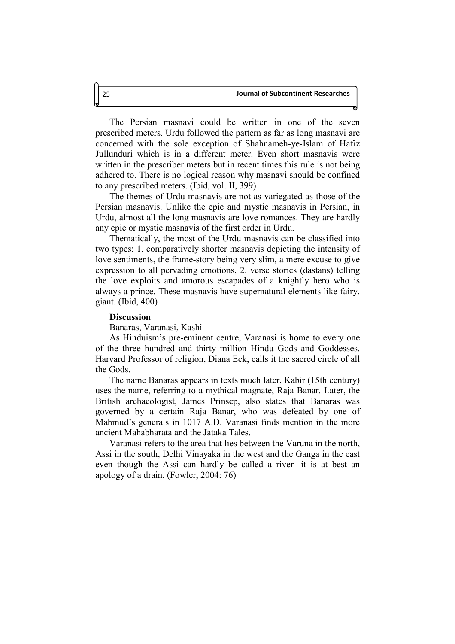The Persian masnavi could be written in one of the seven prescribed meters. Urdu followed the pattern as far as long masnavi are concerned with the sole exception of Shahnameh-ye-Islam of Hafiz Jullunduri which is in a different meter. Even short masnavis were written in the prescriber meters but in recent times this rule is not being adhered to. There is no logical reason why masnavi should be confined to any prescribed meters. (Ibid, vol. II, 399)

The themes of Urdu masnavis are not as variegated as those of the Persian masnavis. Unlike the epic and mystic masnavis in Persian, in Urdu, almost all the long masnavis are love romances. They are hardly any epic or mystic masnavis of the first order in Urdu.

Thematically, the most of the Urdu masnavis can be classified into two types: 1. comparatively shorter masnavis depicting the intensity of love sentiments, the frame-story being very slim, a mere excuse to give expression to all pervading emotions, 2. verse stories (dastans) telling the love exploits and amorous escapades of a knightly hero who is always a prince. These masnavis have supernatural elements like fairy, giant. (Ibid, 400)

## **Discussion**

Banaras, Varanasi, Kashi

As Hinduism's pre-eminent centre, Varanasi is home to every one of the three hundred and thirty million Hindu Gods and Goddesses. Harvard Professor of religion, Diana Eck, calls it the sacred circle of all the Gods.

The name Banaras appears in texts much later, Kabir (15th century) uses the name, referring to a mythical magnate, Raja Banar. Later, the British archaeologist, James Prinsep, also states that Banaras was governed by a certain Raja Banar, who was defeated by one of Mahmud's generals in 1017 A.D. Varanasi finds mention in the more ancient Mahabharata and the Jataka Tales.

Varanasi refers to the area that lies between the Varuna in the north, Assi in the south, Delhi Vinayaka in the west and the Ganga in the east even though the Assi can hardly be called a river -it is at best an apology of a drain. (Fowler, 2004: 76)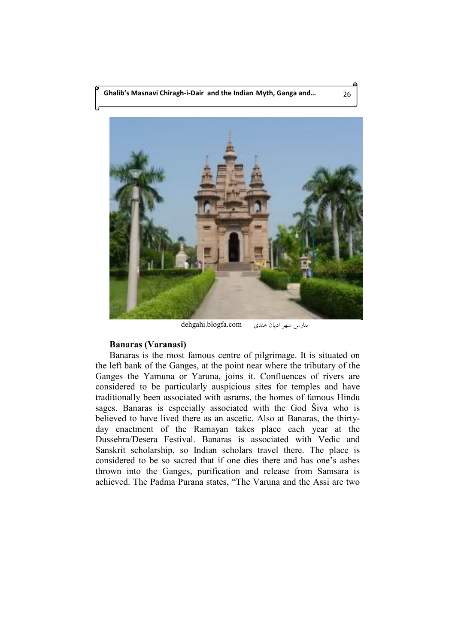

dehgahi.blogfa.com -بنارس شهر اديان هند

## **Banaras (Varanasi)**

Banaras is the most famous centre of pilgrimage. It is situated on the left bank of the Ganges, at the point near where the tributary of the Ganges the Yamuna or Yaruna, joins it. Confluences of rivers are considered to be particularly auspicious sites for temples and have traditionally been associated with asrams, the homes of famous Hindu sages. Banaras is especially associated with the God Šiva who is believed to have lived there as an ascetic. Also at Banaras, the thirtyday enactment of the Ramayan takes place each year at the Dussehra/Desera Festival. Banaras is associated with Vedic and Sanskrit scholarship, so Indian scholars travel there. The place is considered to be so sacred that if one dies there and has one's ashes thrown into the Ganges, purification and release from Samsara is achieved. The Padma Purana states, "The Varuna and the Assi are two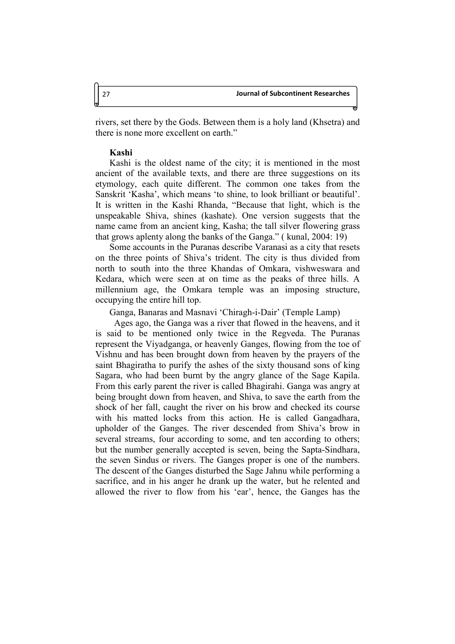rivers, set there by the Gods. Between them is a holy land (Khsetra) and there is none more excellent on earth."

### **Kashi**

Kashi is the oldest name of the city; it is mentioned in the most ancient of the available texts, and there are three suggestions on its etymology, each quite different. The common one takes from the Sanskrit 'Kasha', which means 'to shine, to look brilliant or beautiful'. It is written in the Kashi Rhanda, "Because that light, which is the unspeakable Shiva, shines (kashate). One version suggests that the name came from an ancient king, Kasha; the tall silver flowering grass that grows aplenty along the banks of the Ganga." ( kunal, 2004: 19)

Some accounts in the Puranas describe Varanasi as a city that resets on the three points of Shiva's trident. The city is thus divided from north to south into the three Khandas of Omkara, vishweswara and Kedara, which were seen at on time as the peaks of three hills. A millennium age, the Omkara temple was an imposing structure, occupying the entire hill top.

Ganga, Banaras and Masnavi 'Chiragh-i-Dair' (Temple Lamp)

Ages ago, the Ganga was a river that flowed in the heavens, and it is said to be mentioned only twice in the Regveda. The Puranas represent the Viyadganga, or heavenly Ganges, flowing from the toe of Vishnu and has been brought down from heaven by the prayers of the saint Bhagiratha to purify the ashes of the sixty thousand sons of king Sagara, who had been burnt by the angry glance of the Sage Kapila. From this early parent the river is called Bhagirahi. Ganga was angry at being brought down from heaven, and Shiva, to save the earth from the shock of her fall, caught the river on his brow and checked its course with his matted locks from this action. He is called Gangadhara, upholder of the Ganges. The river descended from Shiva's brow in several streams, four according to some, and ten according to others; but the number generally accepted is seven, being the Sapta-Sindhara, the seven Sindus or rivers. The Ganges proper is one of the numbers. The descent of the Ganges disturbed the Sage Jahnu while performing a sacrifice, and in his anger he drank up the water, but he relented and allowed the river to flow from his 'ear', hence, the Ganges has the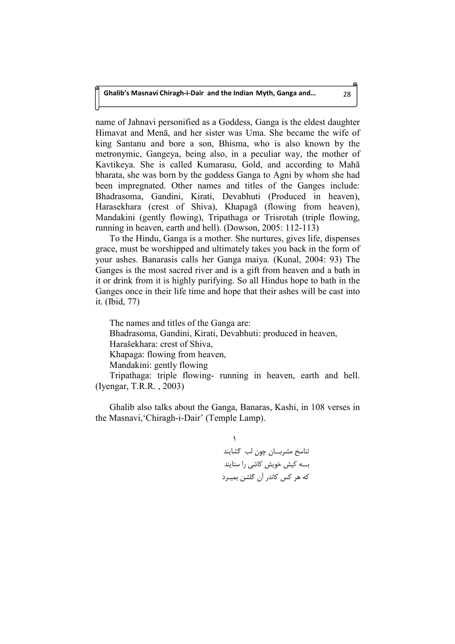name of Jahnavi personified as a Goddess, Ganga is the eldest daughter Himavat and Mena, and her sister was Uma. She became the wife of king Santanu and bore a son, Bhisma, who is also known by the metronymic, Gangeya, being also, in a peculiar way, the mother of Kavtikeya. She is called Kumarasu, Gold, and according to Maha bharata, she was born by the goddess Ganga to Agni by whom she had been impregnated. Other names and titles of the Ganges include: Bhadrasoma, Gandini, Kirati, Devabhuti (Produced in heaven), Harasekhara (crest of Shiva), Khapagā (flowing from heaven), Mandakini (gently flowing), Tripathaga or Trisrotah (triple flowing, running in heaven, earth and hell). (Dowson, 2005: 112-113)

To the Hindu, Ganga is a mother. She nurtures, gives life, dispenses grace, must be worshipped and ultimately takes you back in the form of your ashes. Banarasis calls her Ganga maiya. (Kunal, 2004: 93) The Ganges is the most sacred river and is a gift from heaven and a bath in it or drink from it is highly purifying. So all Hindus hope to bath in the Ganges once in their life time and hope that their ashes will be cast into it. (Ibid, 77)

The names and titles of the Ganga are: Bhadrasoma, Gandini, Kirati, Devabhuti: produced in heaven, Harašekhara: crest of Shiva, Khapaga: flowing from heaven, Mandakini: gently flowing Tripathaga: triple flowing- running in heaven, earth and hell. (Iyengar, T.R.R. , 2003)

Ghalib also talks about the Ganga, Banaras, Kashi, in 108 verses in the Masnavi,'Chiragh-i-Dair' (Temple Lamp).

> $\lambda$ تناسخ مشربـــان چون لب گشايند بے کیش خویش کاشی را ستایند که هر کس کاندر آن گلشن بمیــرد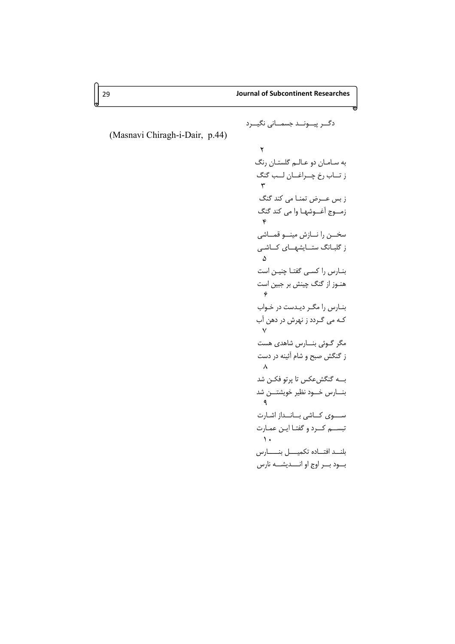m

دگــر پيـــونـــد جسمـــانى نگيـــرد

(Masnavi Chiragh-i-Dair, p.44)

Q -" ' ,\* +% - 1- / 0 . R -  2-\* # . -  + 41! 3. S 7 6." 5 94 -"8 . T < ; ' : < 8( - - . . \$ U 0 % <
% -) : 0! \$% % 6-4" . %%- V <'\$ 9\$ : = -) <% % =! > + ?8@ ) . W  BA -& #B\*)  -C" % : X D ." 9 D\* ; + %- ,'8 PY : FB E%A  :" " + 3+ -%

h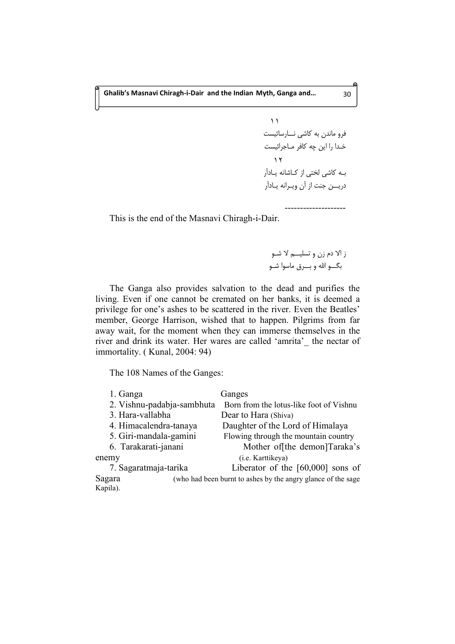$\lambda$ فرو ماندن به کاشی نـــارسائیست خـدا را این چه کافر مـاجرائیست  $\gamma$ بـه كاشى لختى از كـاشانه يـادآر دریـــن جنت از آن ویــرانه یــادآر

This is the end of the Masnavi Chiragh-i-Dair.

ز الا دم زن و تسليـــم لا شــو I- + H )

--------------------

The Ganga also provides salvation to the dead and purifies the living. Even if one cannot be cremated on her banks, it is deemed a privilege for one's ashes to be scattered in the river. Even the Beatles' member, George Harrison, wished that to happen. Pilgrims from far away wait, for the moment when they can immerse themselves in the river and drink its water. Her wares are called 'amrita'\_ the nectar of immortality. ( Kunal, 2004: 94)

The 108 Names of the Ganges:

| 1. Ganga                   | Ganges                                                       |
|----------------------------|--------------------------------------------------------------|
| 2. Vishnu-padabja-sambhuta | Born from the lotus-like foot of Vishnu                      |
| 3. Hara-vallabha           | Dear to Hara (Shiva)                                         |
| 4. Himacalendra-tanaya     | Daughter of the Lord of Himalaya                             |
| 5. Giri-mandala-gamini     | Flowing through the mountain country                         |
| 6. Tarakarati-janani       | Mother of the demon]Taraka's                                 |
| enemy                      | (i.e. Karttikeya)                                            |
| 7. Sagaratmaja-tarika      | Liberator of the $[60,000]$ sons of                          |
| Sagara                     | (who had been burnt to ashes by the angry glance of the sage |
| Kapila).                   |                                                              |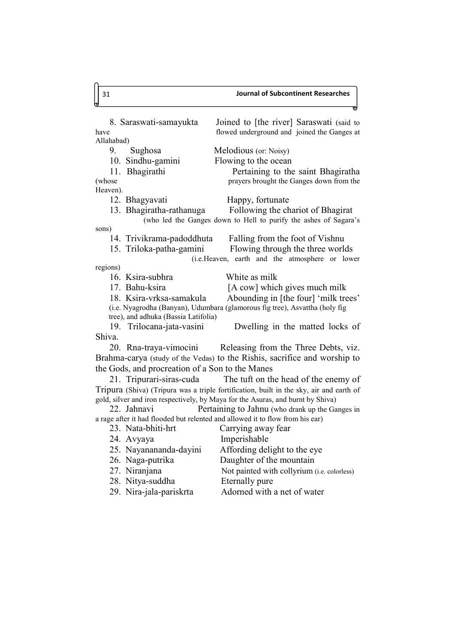### 31 **Journal of Subcontinent Researches**

8. Saraswati-samayukta Joined to [the river] Saraswati (said to have flowed underground and joined the Ganges at Allahabad) 9. Sughosa Melodious (or: Noisy) 10. Sindhu-gamini Flowing to the ocean 11. Bhagirathi Pertaining to the saint Bhagiratha (whose prayers brought the Ganges down from the Heaven). 12. Bhagyavati Happy, fortunate 13. Bhagiratha-rathanuga Following the chariot of Bhagirat (who led the Ganges down to Hell to purify the ashes of Sagara's sons) 14. Trivikrama-padoddhuta Falling from the foot of Vishnu 15. Triloka-patha-gamini Flowing through the three worlds (i.e.Heaven, earth and the atmosphere or lower regions) 16. Ksira-subhra White as milk 17. Bahu-ksira [A cow] which gives much milk 18. Ksira-vrksa-samakula Abounding in [the four] 'milk trees' (i.e. Nyagrodha (Banyan), Udumbara (glamorous fig tree), Asvattha (holy fig tree), and adhuka (Bassia Latifolia) 19. Trilocana-jata-vasini Dwelling in the matted locks of Shiva. 20. Rna-traya-vimocini Releasing from the Three Debts, viz. Brahma-carya (study of the Vedas) to the Rishis, sacrifice and worship to the Gods, and procreation of a Son to the Manes 21. Tripurari-siras-cuda The tuft on the head of the enemy of Tripura (Shiva) (Tripura was a triple fortification, built in the sky, air and earth of gold, silver and iron respectively, by Maya for the Asuras, and burnt by Shiva) 22. Jahnavi Pertaining to Jahnu (who drank up the Ganges in a rage after it had flooded but relented and allowed it to flow from his ear) 23. Nata-bhiti-hrt Carrying away fear 24. Avyaya Imperishable 25. Nayanananda-dayini Affording delight to the eye 26. Naga-putrika Daughter of the mountain 27. Niranjana Not painted with collyrium (i.e. colorless) 28. Nitya-suddha Eternally pure 29. Nira-jala-pariskrta Adorned with a net of water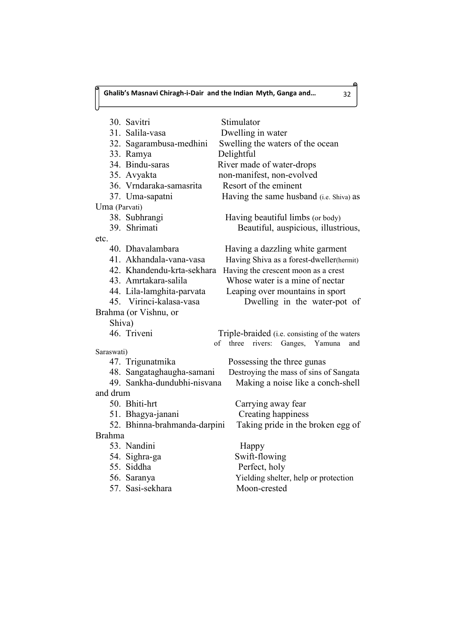Ń

|               | 30. Savitri                     | Stimulator                                           |
|---------------|---------------------------------|------------------------------------------------------|
|               | 31. Salila-vasa                 | Dwelling in water                                    |
|               | 32. Sagarambusa-medhini         | Swelling the waters of the ocean                     |
|               | 33. Ramya                       | Delightful                                           |
|               | 34. Bindu-saras                 | River made of water-drops                            |
|               | 35. Avyakta                     | non-manifest, non-evolved                            |
|               | 36. Vrndaraka-samasrita         | Resort of the eminent                                |
|               | 37. Uma-sapatni                 | Having the same husband (i.e. Shiva) as              |
| Uma (Parvati) |                                 |                                                      |
|               | 38. Subhrangi                   | Having beautiful limbs (or body)                     |
|               | 39. Shrimati                    | Beautiful, auspicious, illustrious,                  |
| etc.          |                                 |                                                      |
|               | 40. Dhavalambara                | Having a dazzling white garment                      |
|               | 41. Akhandala-vana-vasa         | Having Shiva as a forest-dweller(hermit)             |
|               | 42. Khandendu-krta-sekhara      | Having the crescent moon as a crest                  |
|               | 43. Amrtakara-salila            | Whose water is a mine of nectar                      |
|               | 44. Lila-lamghita-parvata       | Leaping over mountains in sport                      |
|               | 45. Virinci-kalasa-vasa         | Dwelling in the water-pot of                         |
|               | Brahma (or Vishnu, or           |                                                      |
| Shiva)        |                                 |                                                      |
|               | 46. Triveni                     | Triple-braided (i.e. consisting of the waters        |
|               |                                 | three rivers: Ganges, Yamuna<br>of<br>and            |
| Saraswati)    |                                 |                                                      |
|               | 47. Trigunatmika                | Possessing the three gunas                           |
|               | 48. Sangataghaugha-samani       | Destroying the mass of sins of Sangata               |
|               | 49. Sankha-dundubhi-nisvana     | Making a noise like a conch-shell                    |
| and drum      |                                 |                                                      |
|               | 50. Bhiti-hrt                   | Carrying away fear                                   |
|               | 51. Bhagya-janani               | Creating happiness                                   |
| <b>Brahma</b> | 52. Bhinna-brahmanda-darpini    | Taking pride in the broken egg of                    |
|               | 53. Nandini                     |                                                      |
|               |                                 | Happy                                                |
|               | 54. Sighra-ga<br>55. Siddha     | Swift-flowing                                        |
|               |                                 | Perfect, holy                                        |
|               | 56. Saranya<br>57. Sasi-sekhara | Yielding shelter, help or protection<br>Moon-crested |
|               |                                 |                                                      |

െ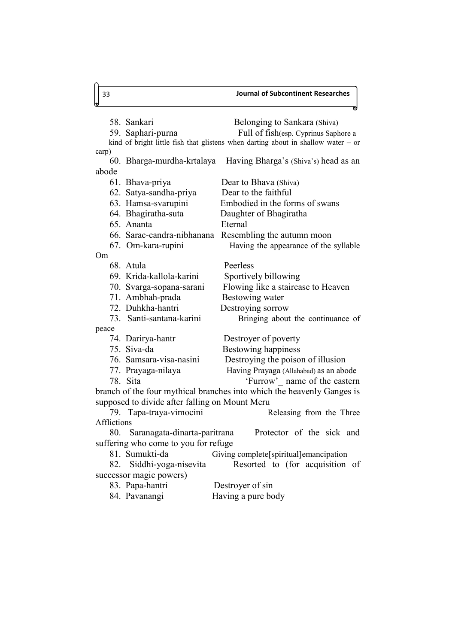58. Sankari Belonging to Sankara (Shiva) 59. Saphari-purna Full of fish(esp. Cyprinus Saphore a kind of bright little fish that glistens when darting about in shallow water  $-$  or carp) 60. Bharga-murdha-krtalaya Having Bharga's (Shiva's) head as an abode 61. Bhava-priya Dear to Bhava (Shiva) 62. Satya-sandha-priya Dear to the faithful 63. Hamsa-svarupini Embodied in the forms of swans 64. Bhagiratha-suta Daughter of Bhagiratha 65. Ananta Eternal 66. Sarac-candra-nibhanana Resembling the autumn moon 67. Om-kara-rupini Having the appearance of the syllable Om 68. Atula Peerless 69. Krida-kallola-karini Sportively billowing 70. Svarga-sopana-sarani Flowing like a staircase to Heaven 71. Ambhah-prada Bestowing water 72. Duhkha-hantri Destroying sorrow 73. Santi-santana-karini Bringing about the continuance of peace 74. Darirya-hantr Destroyer of poverty 75. Siva-da Bestowing happiness 76. Samsara-visa-nasini Destroying the poison of illusion 77. Prayaga-nilaya Having Prayaga (Allahabad) as an abode 78. Sita 'Furrow'\_ name of the eastern branch of the four mythical branches into which the heavenly Ganges is supposed to divide after falling on Mount Meru 79. Tapa-traya-vimocini Releasing from the Three Afflictions 80. Saranagata-dinarta-paritrana Protector of the sick and suffering who come to you for refuge 81. Sumukti-da Giving complete[spiritual]emancipation 82. Siddhi-yoga-nisevita Resorted to (for acquisition of

successor magic powers)

| 83. Papa-hantri | Destroyer of sin   |
|-----------------|--------------------|
| 84. Pavanangi   | Having a pure body |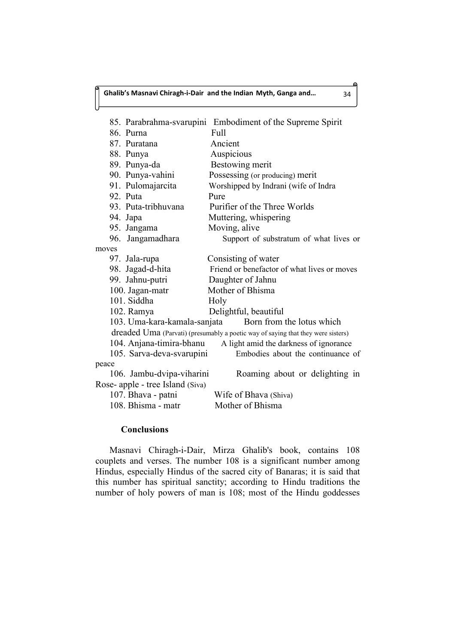85. Parabrahma-svarupini Embodiment of the Supreme Spirit 86. Purna Full 87. Puratana Ancient 88. Punya Auspicious 89. Punya-da Bestowing merit 90. Punya-vahini Possessing (or producing) merit 91. Pulomajarcita Worshipped by Indrani (wife of Indra 92. Puta Pure 93. Puta-tribhuvana Purifier of the Three Worlds 94. Japa Muttering, whispering 95. Jangama Moving, alive 96. Jangamadhara Support of substratum of what lives or moves 97. Jala-rupa Consisting of water 98. Jagad-d-hita Friend or benefactor of what lives or moves 99. Jahnu-putri Daughter of Jahnu 100. Jagan-matr Mother of Bhisma 101. Siddha Holy 102. Ramya Delightful, beautiful 103. Uma-kara-kamala-sanjata Born from the lotus which dreaded Uma (Parvati) (presumably a poetic way of saying that they were sisters) 104. Anjana-timira-bhanu A light amid the darkness of ignorance 105. Sarva-deva-svarupini Embodies about the continuance of peace 106. Jambu-dvipa-viharini Roaming about or delighting in Rose- apple - tree Island (Siva) 107. Bhava - patni Wife of Bhava (Shiva) 108. Bhisma - matr Mother of Bhisma

### **Conclusions**

Masnavi Chiragh-i-Dair, Mirza Ghalib's book, contains 108 couplets and verses. The number 108 is a significant number among Hindus, especially Hindus of the sacred city of Banaras; it is said that this number has spiritual sanctity; according to Hindu traditions the number of holy powers of man is 108; most of the Hindu goddesses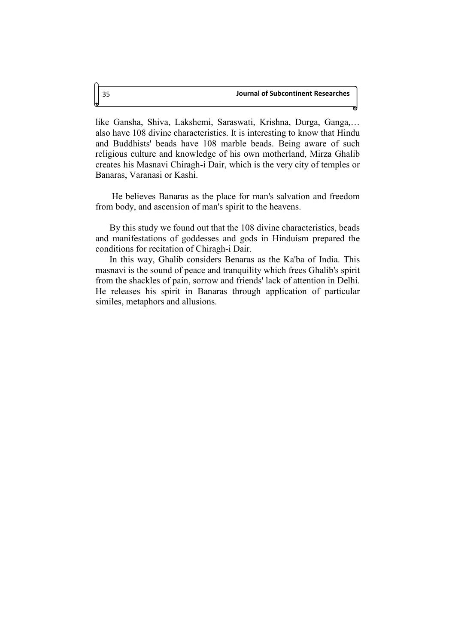like Gansha, Shiva, Lakshemi, Saraswati, Krishna, Durga, Ganga,… also have 108 divine characteristics. It is interesting to know that Hindu and Buddhists' beads have 108 marble beads. Being aware of such religious culture and knowledge of his own motherland, Mirza Ghalib creates his Masnavi Chiragh-i Dair, which is the very city of temples or Banaras, Varanasi or Kashi.

He believes Banaras as the place for man's salvation and freedom from body, and ascension of man's spirit to the heavens.

By this study we found out that the 108 divine characteristics, beads and manifestations of goddesses and gods in Hinduism prepared the conditions for recitation of Chiragh-i Dair.

In this way, Ghalib considers Benaras as the Ka'ba of India. This masnavi is the sound of peace and tranquility which frees Ghalib's spirit from the shackles of pain, sorrow and friends' lack of attention in Delhi. He releases his spirit in Banaras through application of particular similes, metaphors and allusions.